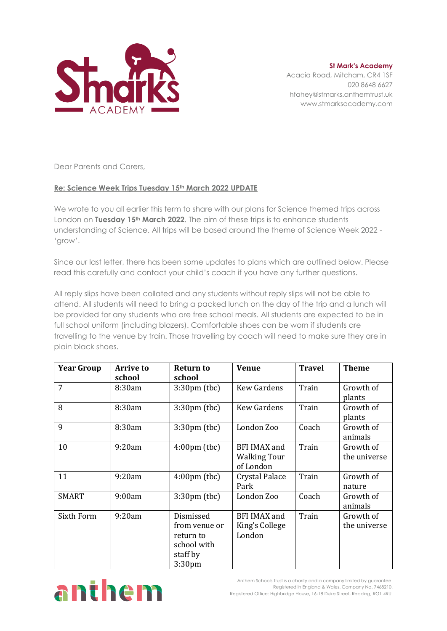

**St Mark's Academy** Acacia Road, Mitcham, CR4 1SF 020 8648 6627 hfahey@stmarks.anthemtrust.uk www.stmarksacademy.com

Dear Parents and Carers,

## **Re: Science Week Trips Tuesday 15th March 2022 UPDATE**

We wrote to you all earlier this term to share with our plans for Science themed trips across London on **Tuesday 15th March 2022**. The aim of these trips is to enhance students understanding of Science. All trips will be based around the theme of Science Week 2022 - 'grow'.

Since our last letter, there has been some updates to plans which are outlined below. Please read this carefully and contact your child's coach if you have any further questions.

All reply slips have been collated and any students without reply slips will not be able to attend. All students will need to bring a packed lunch on the day of the trip and a lunch will be provided for any students who are free school meals. All students are expected to be in full school uniform (including blazers). Comfortable shoes can be worn if students are travelling to the venue by train. Those travelling by coach will need to make sure they are in plain black shoes.

| <b>Year Group</b> | <b>Arrive to</b><br>school | <b>Return to</b><br>school                                                   | <b>Venue</b>                                     | <b>Travel</b> | <b>Theme</b>              |
|-------------------|----------------------------|------------------------------------------------------------------------------|--------------------------------------------------|---------------|---------------------------|
| 7                 | 8:30am                     | $3:30 \text{pm}$ (tbc)                                                       | <b>Kew Gardens</b>                               | Train         | Growth of<br>plants       |
| 8                 | 8:30am                     | $3:30 \text{pm}$ (tbc)                                                       | <b>Kew Gardens</b>                               | Train         | Growth of<br>plants       |
| 9                 | 8:30am                     | $3:30 \text{pm}$ (tbc)                                                       | London Zoo                                       | Coach         | Growth of<br>animals      |
| 10                | 9:20am                     | $4:00 \text{pm}$ (tbc)                                                       | BFI IMAX and<br><b>Walking Tour</b><br>of London | Train         | Growth of<br>the universe |
| 11                | 9:20am                     | $4:00 \text{pm}$ (tbc)                                                       | <b>Crystal Palace</b><br>Park                    | Train         | Growth of<br>nature       |
| <b>SMART</b>      | 9:00am                     | $3:30 \text{pm}$ (tbc)                                                       | London Zoo                                       | Coach         | Growth of<br>animals      |
| Sixth Form        | 9:20am                     | Dismissed<br>from venue or<br>return to<br>school with<br>staff by<br>3:30pm | <b>BFI IMAX and</b><br>King's College<br>London  | Train         | Growth of<br>the universe |



Anthem Schools Trust is a charity and a company limited by guarantee. Registered in England & Wales. Company No. 7468210. Registered Office: Highbridge House, 16-18 Duke Street, Reading, RG1 4RU.